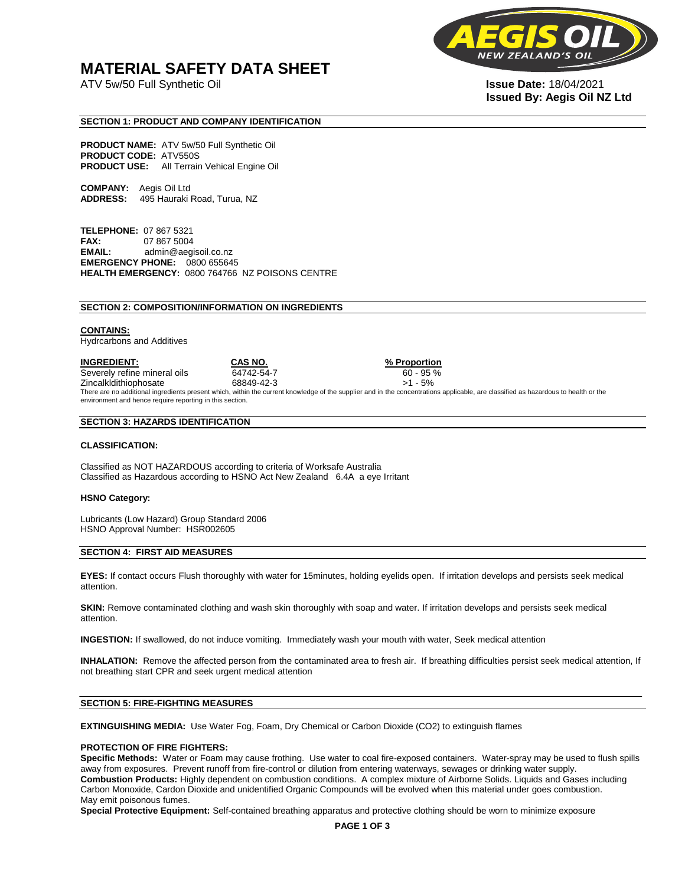# **MATERIAL SAFETY DATA SHEET**

ATV 5w/50 Full Synthetic Oil **Issue Date:** 18/04/2021



# **Issued By: Aegis Oil NZ Ltd**

### **SECTION 1: PRODUCT AND COMPANY IDENTIFICATION**

**PRODUCT NAME:** ATV 5w/50 Full Synthetic Oil **PRODUCT CODE:** ATV550S **PRODUCT USE:** All Terrain Vehical Engine Oil

**COMPANY:** Aegis Oil Ltd **ADDRESS:** 495 Hauraki Road, Turua, NZ

**TELEPHONE:** 07 867 5321 **FAX:** 07 867 5004 **EMAIL:** admin@aegisoil.co.nz **EMERGENCY PHONE:** 0800 655645 **HEALTH EMERGENCY:** 0800 764766 NZ POISONS CENTRE

#### **SECTION 2: COMPOSITION/INFORMATION ON INGREDIENTS**

#### **CONTAINS:**

Hydrcarbons and Additives

**INGREDIENT: CAS NO. % Proportion**  Severely refine mineral oils 64742-54-7 60 - 95 % Zincalkldithiophosate 68849-42-3 >1 - 5% There are no additional ingredients present which, within the current knowledge of the supplier and in the concentrations applicable, are classified as hazardous to health or the environment and hence require reporting in this section.

#### **SECTION 3: HAZARDS IDENTIFICATION**

#### **CLASSIFICATION:**

Classified as NOT HAZARDOUS according to criteria of Worksafe Australia Classified as Hazardous according to HSNO Act New Zealand 6.4A a eye Irritant

#### **HSNO Category:**

Lubricants (Low Hazard) Group Standard 2006 HSNO Approval Number: HSR002605

#### **SECTION 4: FIRST AID MEASURES**

**EYES:** If contact occurs Flush thoroughly with water for 15minutes, holding eyelids open. If irritation develops and persists seek medical attention.

**SKIN:** Remove contaminated clothing and wash skin thoroughly with soap and water. If irritation develops and persists seek medical attention.

**INGESTION:** If swallowed, do not induce vomiting. Immediately wash your mouth with water, Seek medical attention

**INHALATION:** Remove the affected person from the contaminated area to fresh air. If breathing difficulties persist seek medical attention, If not breathing start CPR and seek urgent medical attention

#### **SECTION 5: FIRE-FIGHTING MEASURES**

**EXTINGUISHING MEDIA:** Use Water Fog, Foam, Dry Chemical or Carbon Dioxide (CO2) to extinguish flames

#### **PROTECTION OF FIRE FIGHTERS:**

**Specific Methods:** Water or Foam may cause frothing. Use water to coal fire-exposed containers. Water-spray may be used to flush spills away from exposures. Prevent runoff from fire-control or dilution from entering waterways, sewages or drinking water supply. **Combustion Products:** Highly dependent on combustion conditions. A complex mixture of Airborne Solids. Liquids and Gases including Carbon Monoxide, Cardon Dioxide and unidentified Organic Compounds will be evolved when this material under goes combustion. May emit poisonous fumes.

**Special Protective Equipment:** Self-contained breathing apparatus and protective clothing should be worn to minimize exposure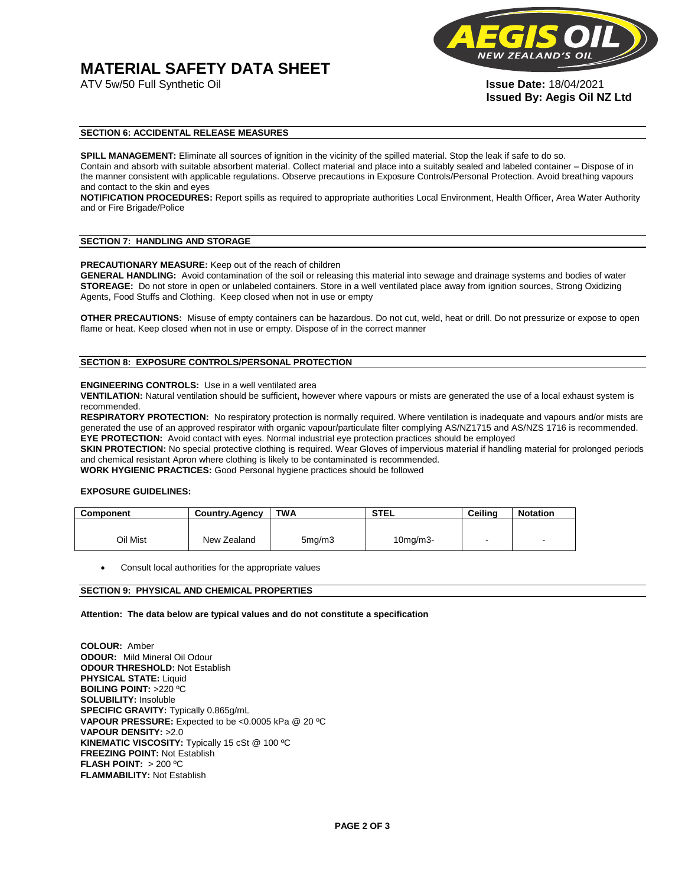# **MATERIAL SAFETY DATA SHEET**



**Issued By: Aegis Oil NZ Ltd** 

#### **SECTION 6: ACCIDENTAL RELEASE MEASURES**

**SPILL MANAGEMENT:** Eliminate all sources of ignition in the vicinity of the spilled material. Stop the leak if safe to do so. Contain and absorb with suitable absorbent material. Collect material and place into a suitably sealed and labeled container – Dispose of in the manner consistent with applicable regulations. Observe precautions in Exposure Controls/Personal Protection. Avoid breathing vapours and contact to the skin and eyes

**NOTIFICATION PROCEDURES:** Report spills as required to appropriate authorities Local Environment, Health Officer, Area Water Authority and or Fire Brigade/Police

#### **SECTION 7: HANDLING AND STORAGE**

**PRECAUTIONARY MEASURE:** Keep out of the reach of children

**GENERAL HANDLING:** Avoid contamination of the soil or releasing this material into sewage and drainage systems and bodies of water **STOREAGE:** Do not store in open or unlabeled containers. Store in a well ventilated place away from ignition sources, Strong Oxidizing Agents, Food Stuffs and Clothing. Keep closed when not in use or empty

**OTHER PRECAUTIONS:** Misuse of empty containers can be hazardous. Do not cut, weld, heat or drill. Do not pressurize or expose to open flame or heat. Keep closed when not in use or empty. Dispose of in the correct manner

### **SECTION 8: EXPOSURE CONTROLS/PERSONAL PROTECTION**

#### **ENGINEERING CONTROLS:** Use in a well ventilated area

**VENTILATION:** Natural ventilation should be sufficient**,** however where vapours or mists are generated the use of a local exhaust system is recommended.

**RESPIRATORY PROTECTION:** No respiratory protection is normally required. Where ventilation is inadequate and vapours and/or mists are generated the use of an approved respirator with organic vapour/particulate filter complying AS/NZ1715 and AS/NZS 1716 is recommended. **EYE PROTECTION:** Avoid contact with eyes. Normal industrial eye protection practices should be employed

**SKIN PROTECTION:** No special protective clothing is required. Wear Gloves of impervious material if handling material for prolonged periods and chemical resistant Apron where clothing is likely to be contaminated is recommended.

**WORK HYGIENIC PRACTICES:** Good Personal hygiene practices should be followed

#### **EXPOSURE GUIDELINES:**

| <b>Component</b> | <b>Country.Agency</b> | <b>TWA</b>          | <b>STEL</b>    | Ceilina | <b>Notation</b>          |
|------------------|-----------------------|---------------------|----------------|---------|--------------------------|
|                  |                       |                     |                |         |                          |
| Oil Mist         | New Zealand           | 5 <sub>mq</sub> /m3 | $10$ mg/m $3-$ |         | $\overline{\phantom{a}}$ |

Consult local authorities for the appropriate values

#### **SECTION 9: PHYSICAL AND CHEMICAL PROPERTIES**

**Attention: The data below are typical values and do not constitute a specification** 

**COLOUR:** Amber **ODOUR:** Mild Mineral Oil Odour **ODOUR THRESHOLD:** Not Establish **PHYSICAL STATE:** Liquid **BOILING POINT:** >220 ºC **SOLUBILITY:** Insoluble **SPECIFIC GRAVITY:** Typically 0.865g/mL **VAPOUR PRESSURE:** Expected to be <0.0005 kPa @ 20 ºC **VAPOUR DENSITY:** >2.0 **KINEMATIC VISCOSITY:** Typically 15 cSt @ 100 ºC **FREEZING POINT: Not Establish FLASH POINT:** > 200 ºC **FLAMMABILITY:** Not Establish